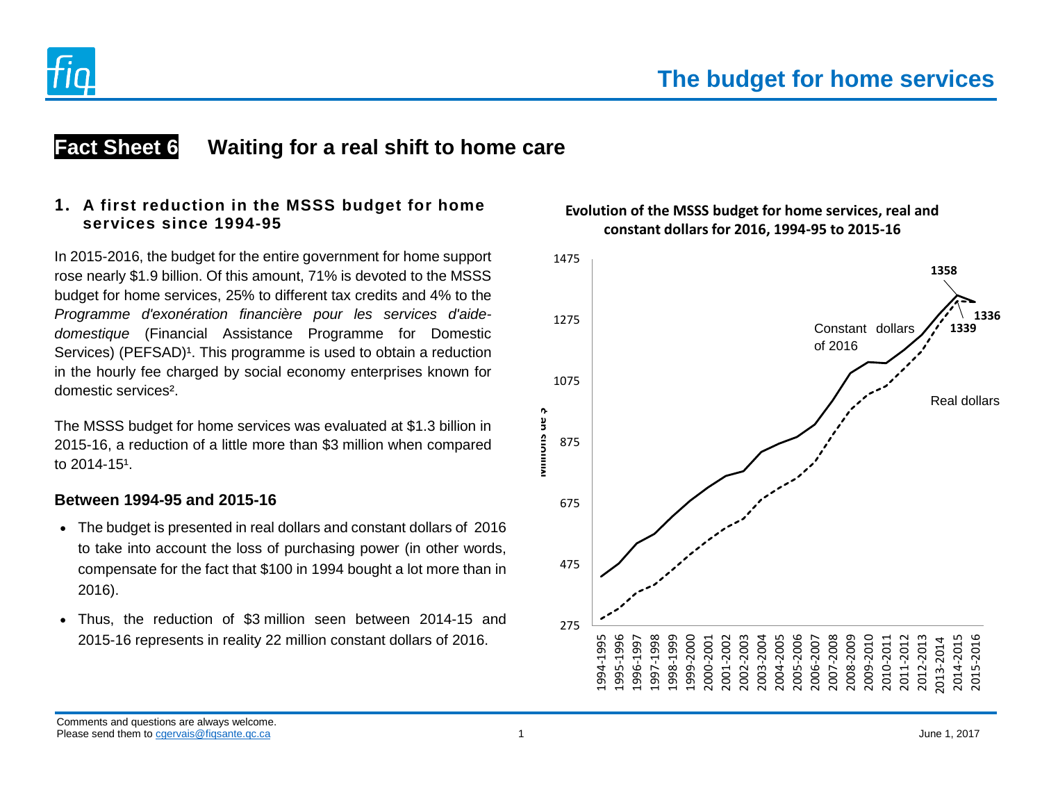

# **Fact Sheet 6 Waiting for a real shift to home care**

# **1. A first reduction in the MSSS budget for home services since 1994-95**

In 2015-2016, the budget for the entire government for home support rose nearly \$1.9 billion. Of this amount, 71% is devoted to the MSSS budget for home services, 25% to different tax credits and 4% to the *Programme d'exonération financière pour les services d'aidedomestique* (Financial Assistance Programme for Domestic Services) (PEFSAD)<sup>1</sup>. This programme is used to obtain a reduction in the hourly fee charged by social economy enterprises known for domestic services².

The MSSS budget for home services was evaluated at \$1.3 billion in 2015-16, a reduction of a little more than \$3 million when compared to  $2014 - 15<sup>1</sup>$ .

# **Between 1994-95 and 2015-16**

- The budget is presented in real dollars and constant dollars of 2016 to take into account the loss of purchasing power (in other words, compensate for the fact that \$100 in 1994 bought a lot more than in 2016).
- Thus, the reduction of \$3 million seen between 2014-15 and 2015-16 represents in reality 22 million constant dollars of 2016.



# **Evolution of the MSSS budget for home services, real and constant dollars for 2016, 1994-95 to 2015-16**

Comments and questions are always welcome. Please send them to cgervais@figsante.qc.ca 2 and them to cgervais@figsante.qc.ca 2017